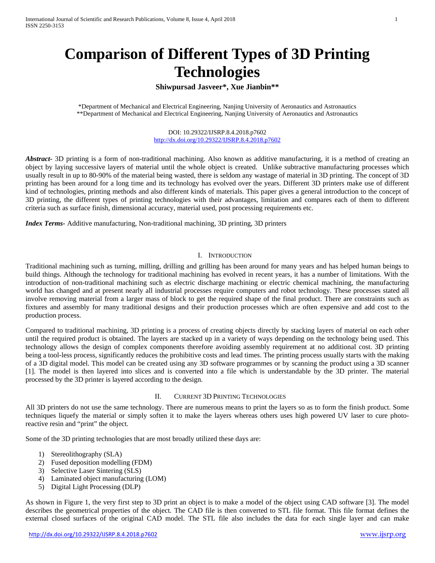# **Comparison of Different Types of 3D Printing Technologies**

## **Shiwpursad Jasveer\*, Xue Jianbin\*\***

\*Department of Mechanical and Electrical Engineering, Nanjing University of Aeronautics and Astronautics \*\*Department of Mechanical and Electrical Engineering, Nanjing University of Aeronautics and Astronautics

> DOI: 10.29322/IJSRP.8.4.2018.p7602 <http://dx.doi.org/10.29322/IJSRP.8.4.2018.p7602>

*Abstract-* 3D printing is a form of non-traditional machining. Also known as additive manufacturing, it is a method of creating an object by laying successive layers of material until the whole object is created. Unlike subtractive manufacturing processes which usually result in up to 80-90% of the material being wasted, there is seldom any wastage of material in 3D printing. The concept of 3D printing has been around for a long time and its technology has evolved over the years. Different 3D printers make use of different kind of technologies, printing methods and also different kinds of materials. This paper gives a general introduction to the concept of 3D printing, the different types of printing technologies with their advantages, limitation and compares each of them to different criteria such as surface finish, dimensional accuracy, material used, post processing requirements etc.

*Index Terms-* Additive manufacturing, Non-traditional machining, 3D printing, 3D printers

#### I. INTRODUCTION

Traditional machining such as turning, milling, drilling and grilling has been around for many years and has helped human beings to build things. Although the technology for traditional machining has evolved in recent years, it has a number of limitations. With the introduction of non-traditional machining such as electric discharge machining or electric chemical machining, the manufacturing world has changed and at present nearly all industrial processes require computers and robot technology. These processes stated all involve removing material from a larger mass of block to get the required shape of the final product. There are constraints such as fixtures and assembly for many traditional designs and their production processes which are often expensive and add cost to the production process.

Compared to traditional machining, 3D printing is a process of creating objects directly by stacking layers of material on each other until the required product is obtained. The layers are stacked up in a variety of ways depending on the technology being used. This technology allows the design of complex components therefore avoiding assembly requirement at no additional cost. 3D printing being a tool-less process, significantly reduces the prohibitive costs and lead times. The printing process usually starts with the making of a 3D digital model. This model can be created using any 3D software programmes or by scanning the product using a 3D scanner [1]. The model is then layered into slices and is converted into a file which is understandable by the 3D printer. The material processed by the 3D printer is layered according to the design.

#### II. CURRENT 3D PRINTING TECHNOLOGIES

All 3D printers do not use the same technology. There are numerous means to print the layers so as to form the finish product. Some techniques liquefy the material or simply soften it to make the layers whereas others uses high powered UV laser to cure photoreactive resin and "print" the object.

Some of the 3D printing technologies that are most broadly utilized these days are:

- 1) Stereolithography (SLA)
- 2) Fused deposition modelling (FDM)
- 3) Selective Laser Sintering (SLS)
- 4) Laminated object manufacturing (LOM)
- 5) Digital Light Processing (DLP)

As shown in Figure 1, the very first step to 3D print an object is to make a model of the object using CAD software [3]. The model describes the geometrical properties of the object. The CAD file is then converted to STL file format. This file format defines the external closed surfaces of the original CAD model. The STL file also includes the data for each single layer and can make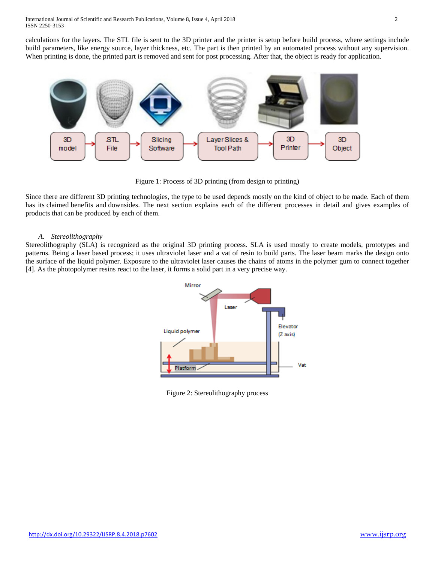calculations for the layers. The STL file is sent to the 3D printer and the printer is setup before build process, where settings include build parameters, like energy source, layer thickness, etc. The part is then printed by an automated process without any supervision. When printing is done, the printed part is removed and sent for post processing. After that, the object is ready for application.



Figure 1: Process of 3D printing (from design to printing)

Since there are different 3D printing technologies, the type to be used depends mostly on the kind of object to be made. Each of them has its claimed benefits and downsides. The next section explains each of the different processes in detail and gives examples of products that can be produced by each of them.

### *A. Stereolithography*

Stereolithography (SLA) is recognized as the original 3D printing process. SLA is used mostly to create models, prototypes and patterns. Being a laser based process; it uses ultraviolet laser and a vat of resin to build parts. The laser beam marks the design onto the surface of the liquid polymer. Exposure to the ultraviolet laser causes the chains of atoms in the polymer gum to connect together [4]. As the photopolymer resins react to the laser, it forms a solid part in a very precise way.



Figure 2: Stereolithography process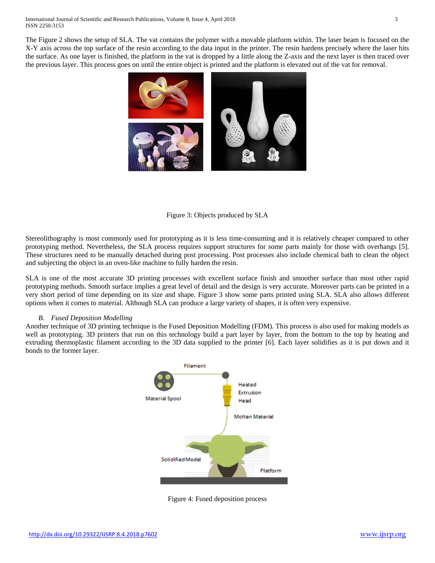The Figure 2 shows the setup of SLA. The vat contains the polymer with a movable platform within. The laser beam is focused on the X-Y axis across the top surface of the resin according to the data input in the printer. The resin hardens precisely where the laser hits the surface. As one layer is finished, the platform in the vat is dropped by a little along the Z-axis and the next layer is then traced over the previous layer. This process goes on until the entire object is printed and the platform is elevated out of the vat for removal.



## Figure 3: Objects produced by SLA

Stereolithography is most commonly used for prototyping as it is less time-consuming and it is relatively cheaper compared to other prototyping method. Nevertheless, the SLA process requires support structures for some parts mainly for those with overhangs [5]. These structures need to be manually detached during post processing. Post processes also include chemical bath to clean the object and subjecting the object in an oven-like machine to fully harden the resin.

SLA is one of the most accurate 3D printing processes with excellent surface finish and smoother surface than most other rapid prototyping methods. Smooth surface implies a great level of detail and the design is very accurate. Moreover parts can be printed in a very short period of time depending on its size and shape. Figure 3 show some parts printed using SLA. SLA also allows different options when it comes to material. Although SLA can produce a large variety of shapes, it is often very expensive.

#### *B. Fused Deposition Modelling*

Another technique of 3D printing technique is the Fused Deposition Modelling (FDM). This process is also used for making models as well as prototyping. 3D printers that run on this technology build a part layer by layer, from the bottom to the top by heating and extruding thermoplastic filament according to the 3D data supplied to the printer [6]. Each layer solidifies as it is put down and it bonds to the former layer.



Figure 4: Fused deposition process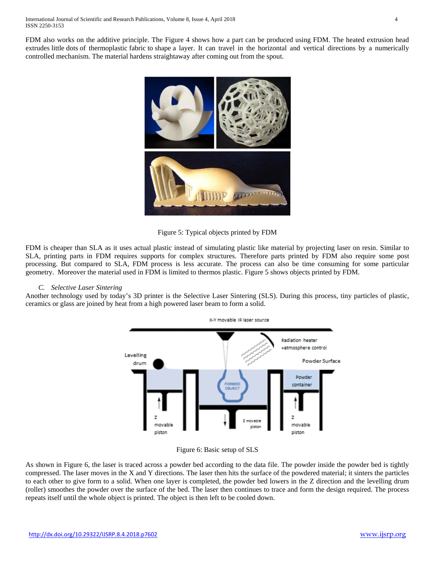FDM also works on the additive principle. The Figure 4 shows how a part can be produced using FDM. The heated extrusion head extrudes little dots of thermoplastic fabric to shape a layer. It can travel in the horizontal and vertical directions by a numerically controlled mechanism. The material hardens straightaway after coming out from the spout.



Figure 5: Typical objects printed by FDM

FDM is cheaper than SLA as it uses actual plastic instead of simulating plastic like material by projecting laser on resin. Similar to SLA, printing parts in FDM requires supports for complex structures. Therefore parts printed by FDM also require some post processing. But compared to SLA, FDM process is less accurate. The process can also be time consuming for some particular geometry. Moreover the material used in FDM is limited to thermos plastic. Figure 5 shows objects printed by FDM.

## *C. Selective Laser Sintering*

Another technology used by today's 3D printer is the Selective Laser Sintering (SLS). During this process, tiny particles of plastic, ceramics or glass are joined by heat from a high powered laser beam to form a solid.





As shown in Figure 6, the laser is traced across a powder bed according to the data file. The powder inside the powder bed is tightly compressed. The laser moves in the X and Y directions. The laser then hits the surface of the powdered material; it sinters the particles to each other to give form to a solid. When one layer is completed, the powder bed lowers in the Z direction and the levelling drum (roller) smoothes the powder over the surface of the bed. The laser then continues to trace and form the design required. The process repeats itself until the whole object is printed. The object is then left to be cooled down.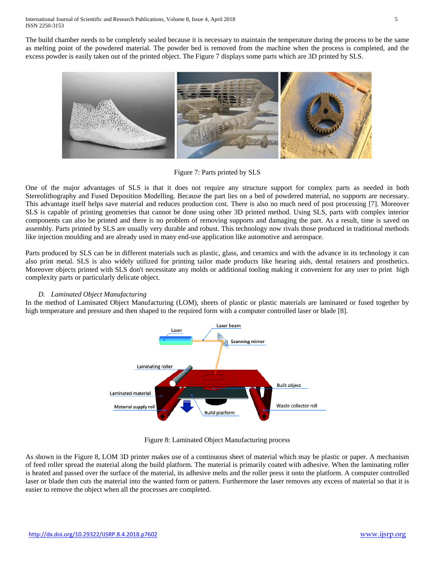The build chamber needs to be completely sealed because it is necessary to maintain the temperature during the process to be the same as melting point of the powdered material. The powder bed is removed from the machine when the process is completed, and the excess powder is easily taken out of the printed object. The Figure 7 displays some parts which are 3D printed by SLS.



Figure 7: Parts printed by SLS

One of the major advantages of SLS is that it does not require any structure support for complex parts as needed in both Stereolithography and Fused Deposition Modelling. Because the part lies on a bed of powdered material, no supports are necessary. This advantage itself helps save material and reduces production cost. There is also no much need of post processing [7]. Moreover SLS is capable of printing geometries that cannot be done using other 3D printed method. Using SLS, parts with complex interior components can also be printed and there is no problem of removing supports and damaging the part. As a result, time is saved on assembly. Parts printed by SLS are usually very durable and robust. This technology now rivals those produced in traditional methods like injection moulding and are already used in many end-use application like automotive and aerospace.

Parts produced by SLS can be in different materials such as plastic, glass, and ceramics and with the advance in its technology it can also print metal. SLS is also widely utilized for printing tailor made products like hearing aids, dental retainers and prosthetics. Moreover objects printed with SLS don't necessitate any molds or additional tooling making it convenient for any user to print high complexity parts or particularly delicate object.

# *D. Laminated Object Manufacturing*

In the method of Laminated Object Manufacturing (LOM), sheets of plastic or plastic materials are laminated or fused together by high temperature and pressure and then shaped to the required form with a computer controlled laser or blade [8].



Figure 8: Laminated Object Manufacturing process

As shown in the Figure 8, LOM 3D printer makes use of a continuous sheet of material which may be plastic or paper. A mechanism of feed roller spread the material along the build platform. The material is primarily coated with adhesive. When the laminating roller is heated and passed over the surface of the material, its adhesive melts and the roller press it onto the platform. A computer controlled laser or blade then cuts the material into the wanted form or pattern. Furthermore the laser removes any excess of material so that it is easier to remove the object when all the processes are completed.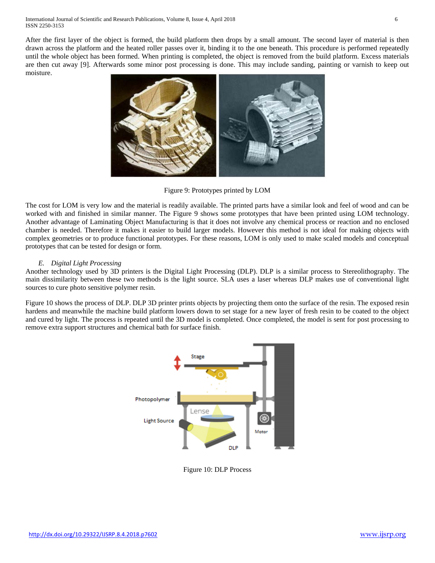After the first layer of the object is formed, the build platform then drops by a small amount. The second layer of material is then drawn across the platform and the heated roller passes over it, binding it to the one beneath. This procedure is performed repeatedly until the whole object has been formed. When printing is completed, the object is removed from the build platform. Excess materials are then cut away [9]. Afterwards some minor post processing is done. This may include sanding, painting or varnish to keep out moisture.



Figure 9: Prototypes printed by LOM

The cost for LOM is very low and the material is readily available. The printed parts have a similar look and feel of wood and can be worked with and finished in similar manner. The Figure 9 shows some prototypes that have been printed using LOM technology. Another advantage of Laminating Object Manufacturing is that it does not involve any chemical process or reaction and no enclosed chamber is needed. Therefore it makes it easier to build larger models. However this method is not ideal for making objects with complex geometries or to produce functional prototypes. For these reasons, LOM is only used to make scaled models and conceptual prototypes that can be tested for design or form.

## *E. Digital Light Processing*

Another technology used by 3D printers is the Digital Light Processing (DLP). DLP is a similar process to Stereolithography. The main dissimilarity between these two methods is the light source. SLA uses a laser whereas DLP makes use of conventional light sources to cure photo sensitive polymer resin.

Figure 10 shows the process of DLP. DLP 3D printer prints objects by projecting them onto the surface of the resin. The exposed resin hardens and meanwhile the machine build platform lowers down to set stage for a new layer of fresh resin to be coated to the object and cured by light. The process is repeated until the 3D model is completed. Once completed, the model is sent for post processing to remove extra support structures and chemical bath for surface finish.



Figure 10: DLP Process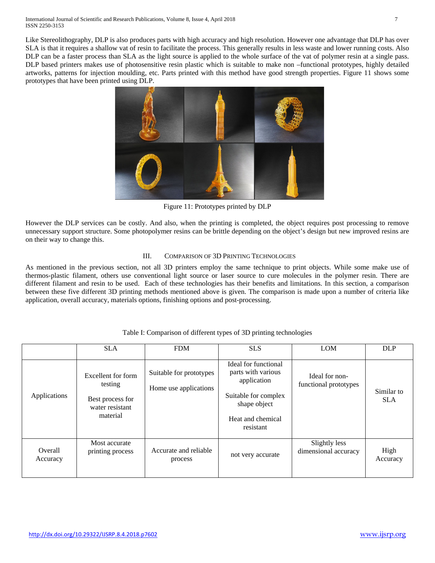Like Stereolithography, DLP is also produces parts with high accuracy and high resolution. However one advantage that DLP has over SLA is that it requires a shallow vat of resin to facilitate the process. This generally results in less waste and lower running costs. Also DLP can be a faster process than SLA as the light source is applied to the whole surface of the vat of polymer resin at a single pass. DLP based printers makes use of photosensitive resin plastic which is suitable to make non –functional prototypes, highly detailed artworks, patterns for injection moulding, etc. Parts printed with this method have good strength properties. Figure 11 shows some prototypes that have been printed using DLP.



Figure 11: Prototypes printed by DLP

However the DLP services can be costly. And also, when the printing is completed, the object requires post processing to remove unnecessary support structure. Some photopolymer resins can be brittle depending on the object's design but new improved resins are on their way to change this.

# III. COMPARISON OF 3D PRINTING TECHNOLOGIES

As mentioned in the previous section, not all 3D printers employ the same technique to print objects. While some make use of thermos-plastic filament, others use conventional light source or laser source to cure molecules in the polymer resin. There are different filament and resin to be used. Each of these technologies has their benefits and limitations. In this section, a comparison between these five different 3D printing methods mentioned above is given. The comparison is made upon a number of criteria like application, overall accuracy, materials options, finishing options and post-processing.

|                     | <b>SLA</b>                                                                       | <b>FDM</b>                                       | <b>SLS</b>                                                                                                                          | <b>LOM</b>                              | <b>DLP</b>               |
|---------------------|----------------------------------------------------------------------------------|--------------------------------------------------|-------------------------------------------------------------------------------------------------------------------------------------|-----------------------------------------|--------------------------|
| Applications        | Excellent for form<br>testing<br>Best process for<br>water resistant<br>material | Suitable for prototypes<br>Home use applications | Ideal for functional<br>parts with various<br>application<br>Suitable for complex<br>shape object<br>Heat and chemical<br>resistant | Ideal for non-<br>functional prototypes | Similar to<br><b>SLA</b> |
| Overall<br>Accuracy | Most accurate<br>printing process                                                | Accurate and reliable<br>process                 | not very accurate                                                                                                                   | Slightly less<br>dimensional accuracy   | High<br>Accuracy         |

# Table I: Comparison of different types of 3D printing technologies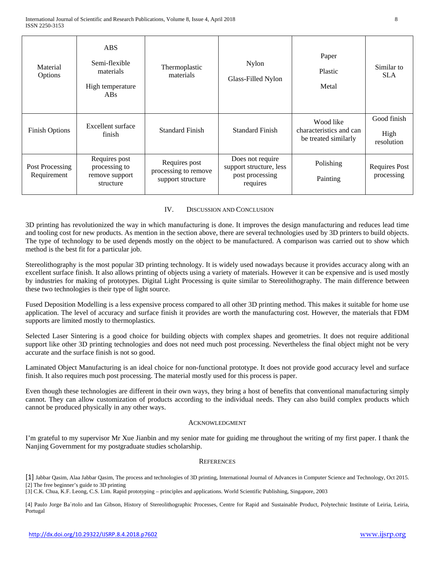| Material<br>Options            | <b>ABS</b><br>Semi-flexible<br>materials<br>High temperature<br>$\overline{ABs}$ | Thermoplastic<br>materials                                 | Nylon<br>Glass-Filled Nylon                                                | Paper<br>Plastic<br>Metal                                    | Similar to<br><b>SLA</b>           |
|--------------------------------|----------------------------------------------------------------------------------|------------------------------------------------------------|----------------------------------------------------------------------------|--------------------------------------------------------------|------------------------------------|
| <b>Finish Options</b>          | Excellent surface<br>finish                                                      | <b>Standard Finish</b>                                     | <b>Standard Finish</b>                                                     | Wood like<br>characteristics and can<br>be treated similarly | Good finish<br>High<br>resolution  |
| Post Processing<br>Requirement | Requires post<br>processing to<br>remove support<br>structure                    | Requires post<br>processing to remove<br>support structure | Does not require<br>support structure, less<br>post processing<br>requires | Polishing<br>Painting                                        | <b>Requires Post</b><br>processing |

### IV. DISCUSSION AND CONCLUSION

3D printing has revolutionized the way in which manufacturing is done. It improves the design manufacturing and reduces lead time and tooling cost for new products. As mention in the section above, there are several technologies used by 3D printers to build objects. The type of technology to be used depends mostly on the object to be manufactured. A comparison was carried out to show which method is the best fit for a particular job.

Stereolithography is the most popular 3D printing technology. It is widely used nowadays because it provides accuracy along with an excellent surface finish. It also allows printing of objects using a variety of materials. However it can be expensive and is used mostly by industries for making of prototypes. Digital Light Processing is quite similar to Stereolithography. The main difference between these two technologies is their type of light source.

Fused Deposition Modelling is a less expensive process compared to all other 3D printing method. This makes it suitable for home use application. The level of accuracy and surface finish it provides are worth the manufacturing cost. However, the materials that FDM supports are limited mostly to thermoplastics.

Selected Laser Sintering is a good choice for building objects with complex shapes and geometries. It does not require additional support like other 3D printing technologies and does not need much post processing. Nevertheless the final object might not be very accurate and the surface finish is not so good.

Laminated Object Manufacturing is an ideal choice for non-functional prototype. It does not provide good accuracy level and surface finish. It also requires much post processing. The material mostly used for this process is paper.

Even though these technologies are different in their own ways, they bring a host of benefits that conventional manufacturing simply cannot. They can allow customization of products according to the individual needs. They can also build complex products which cannot be produced physically in any other ways.

#### ACKNOWLEDGMENT

I'm grateful to my supervisor Mr Xue Jianbin and my senior mate for guiding me throughout the writing of my first paper. I thank the Nanjing Government for my postgraduate studies scholarship.

#### **REFERENCES**

[1] Jabbar Qasim, Alaa Jabbar Qasim, The process and technologies of 3D printing, International Journal of Advances in Computer Science and Technology, Oct 2015. [2] The free beginner's guide to 3D printing

[3] C.K. Chua, K.F. Leong, C.S. Lim. Rapid prototyping – principles and applications. World Scientific Publishing, Singapore, 2003

[4] Paulo Jorge Ba´rtolo and Ian Gibson, History of Stereolithographic Processes, Centre for Rapid and Sustainable Product, Polytechnic Institute of Leiria, Leiria, Portugal